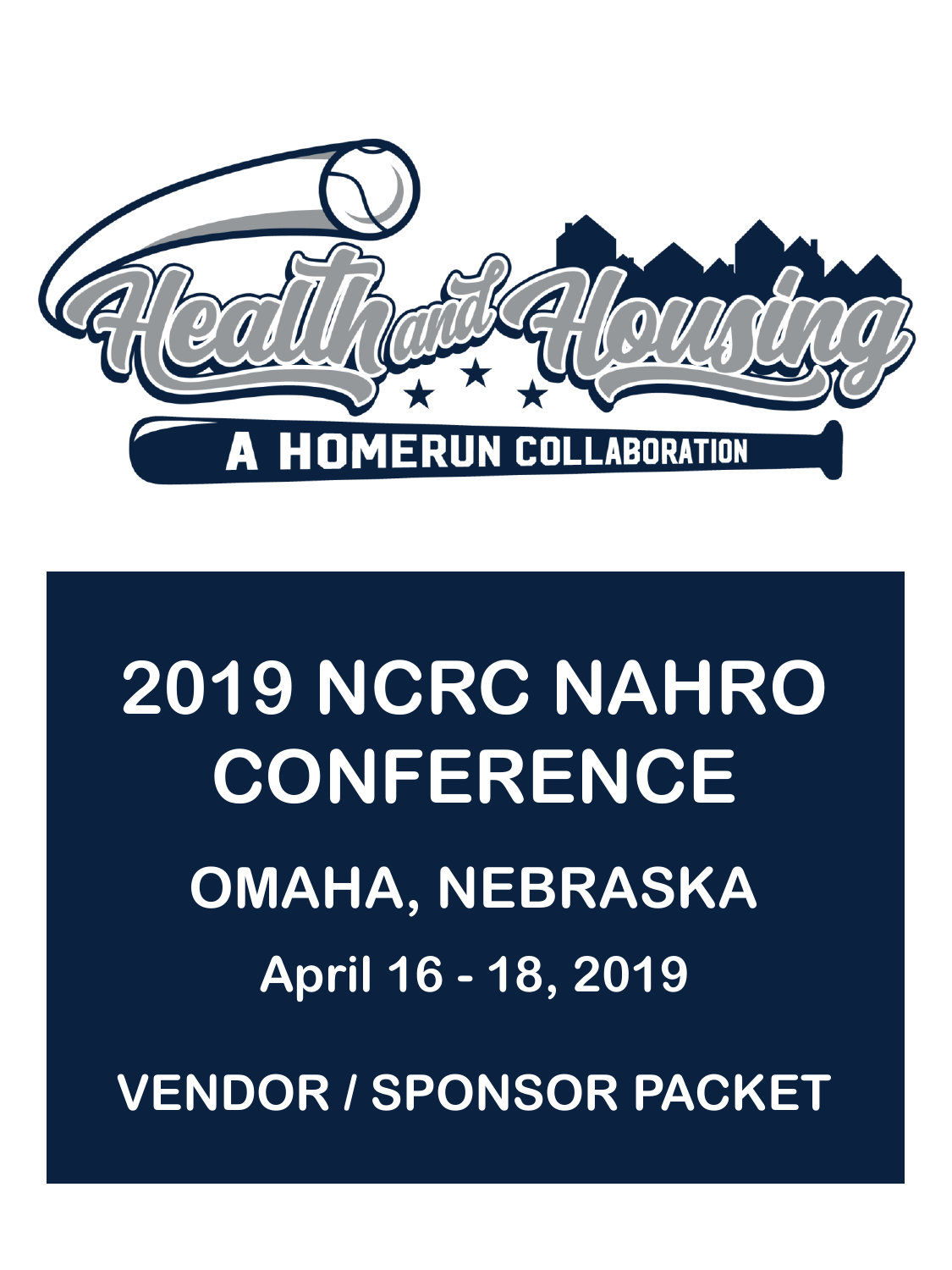

# **2019 NCRC NAHRO CONFERENCE OMAHA, NEBRASKA April 16 - 18, 2019 VENDOR / SPONSOR PACKET**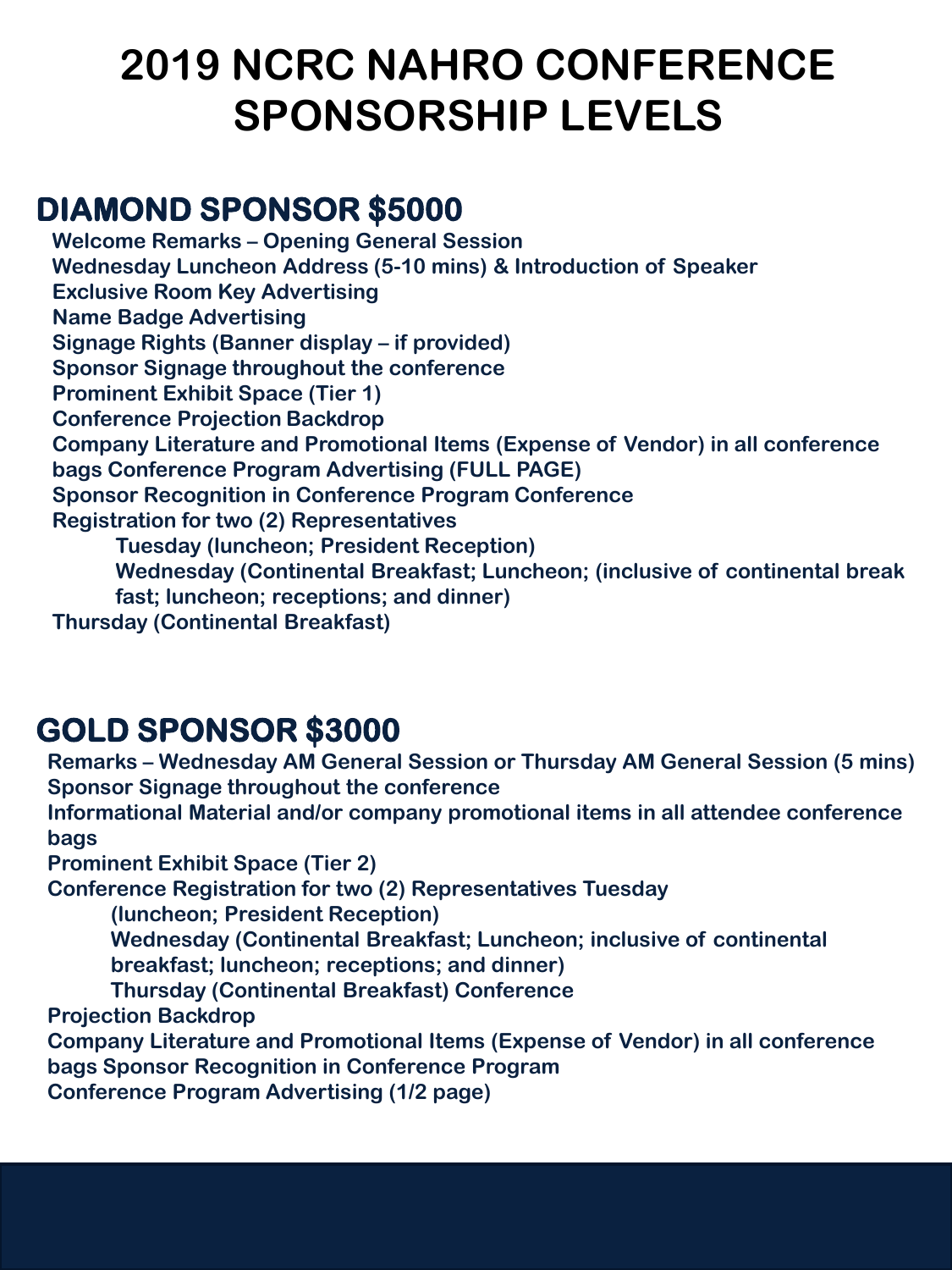# **2019 NCRC NAHRO CONFERENCE SPONSORSHIP LEVELS**

## **DIAMOND SPONSOR \$5000**

**Welcome Remarks – Opening General Session Wednesday Luncheon Address (5-10 mins) & Introduction of Speaker Exclusive Room Key Advertising Name Badge Advertising Signage Rights (Banner display – if provided) Sponsor Signage throughout the conference Prominent Exhibit Space (Tier 1) Conference Projection Backdrop Company Literature and Promotional Items (Expense of Vendor) in all conference bags Conference Program Advertising (FULL PAGE) Sponsor Recognition in Conference Program Conference Registration for two (2) Representatives Tuesday (luncheon; President Reception) Wednesday (Continental Breakfast; Luncheon; (inclusive of continental break fast; luncheon; receptions; and dinner) Thursday (Continental Breakfast)**

## **GOLD SPONSOR \$3000**

**Remarks – Wednesday AM General Session or Thursday AM General Session (5 mins) Sponsor Signage throughout the conference Informational Material and/or company promotional items in all attendee conference bags Prominent Exhibit Space (Tier 2) Conference Registration for two (2) Representatives Tuesday (luncheon; President Reception) Wednesday (Continental Breakfast; Luncheon; inclusive of continental breakfast; luncheon; receptions; and dinner) Thursday (Continental Breakfast) Conference Projection Backdrop Company Literature and Promotional Items (Expense of Vendor) in all conference bags Sponsor Recognition in Conference Program Conference Program Advertising (1/2 page)**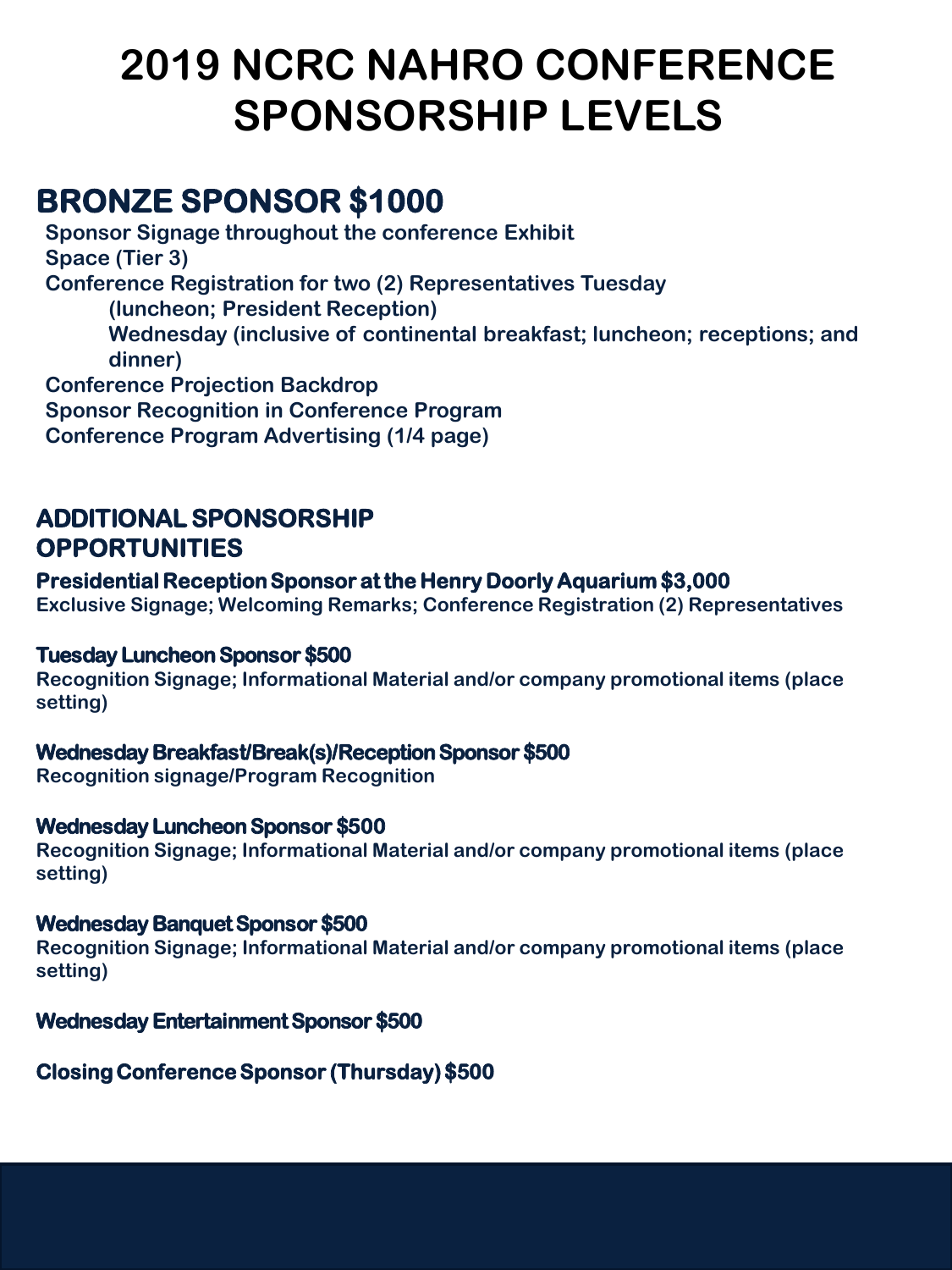# **2019 NCRC NAHRO CONFERENCE SPONSORSHIP LEVELS**

## **BRONZE SPONSOR \$1000**

**Sponsor Signage throughout the conference Exhibit Space (Tier 3) Conference Registration for two (2) Representatives Tuesday (luncheon; President Reception) Wednesday (inclusive of continental breakfast; luncheon; receptions; and dinner) Conference Projection Backdrop Sponsor Recognition in Conference Program** 

**Conference Program Advertising (1/4 page)**

## **ADDITIONAL SPONSORSHIP OPPORTUNITIES**

## **Presidential Reception Sponsor at the Henry Doorly Aquarium \$3,000**

**Exclusive Signage; Welcoming Remarks; Conference Registration (2) Representatives** 

#### **Tuesday Luncheon Sponsor \$500**

**Recognition Signage; Informational Material and/or company promotional items (place setting)**

## **Wednesday Breakfast/Break(s)/Reception Sponsor \$500**

**Recognition signage/Program Recognition**

## **Wednesday Luncheon Sponsor \$500**

**Recognition Signage; Informational Material and/or company promotional items (place setting)**

## **Wednesday Banquet Sponsor \$500**

**Recognition Signage; Informational Material and/or company promotional items (place setting)**

## **Wednesday Entertainment Sponsor \$500**

## **Closing Conference Sponsor (Thursday) \$500**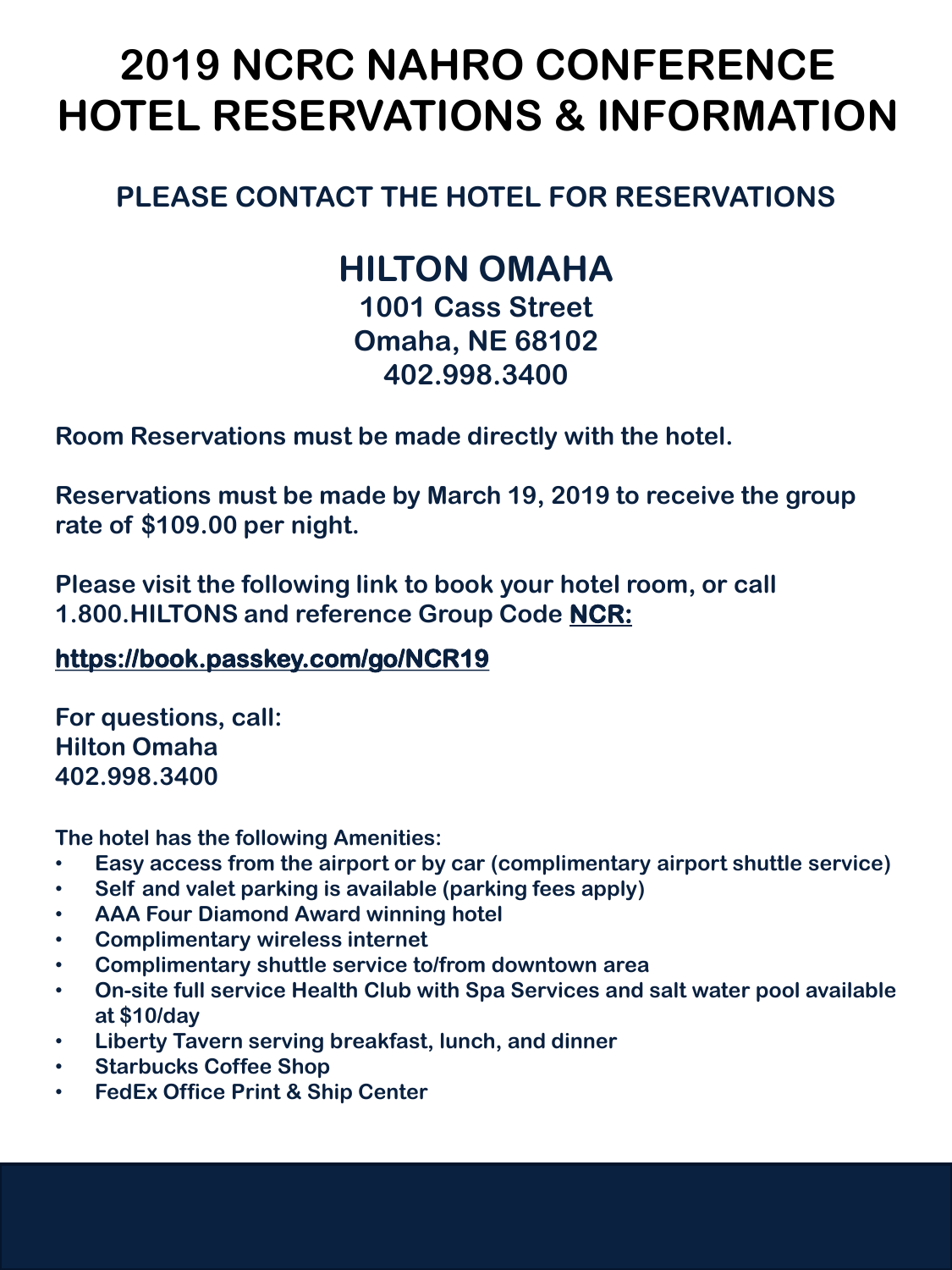# **2019 NCRC NAHRO CONFERENCE HOTEL RESERVATIONS & INFORMATION**

## **PLEASE CONTACT THE HOTEL FOR RESERVATIONS**

## **HILTON OMAHA**

**1001 Cass Street Omaha, NE 68102 402.998.3400**

**Room Reservations must be made directly with the hotel.**

**Reservations must be made by March 19, 2019 to receive the group rate of \$109.00 per night.**

**Please visit the following link to book your hotel room, or call 1.800.HILTONS and reference Group Code NCR:**

## **https://book.passkey.com/go/NCR19**

**For questions, call: Hilton Omaha 402.998.3400** 

**The hotel has the following Amenities:**

- **Easy access from the airport or by car (complimentary airport shuttle service)**
- **Self and valet parking is available (parking fees apply)**
- **AAA Four Diamond Award winning hotel**
- **Complimentary wireless internet**
- **Complimentary shuttle service to/from downtown area**
- **On-site full service Health Club with Spa Services and salt water pool available at \$10/day**
- **Liberty Tavern serving breakfast, lunch, and dinner**
- **Starbucks Coffee Shop**
- **FedEx Office Print & Ship Center**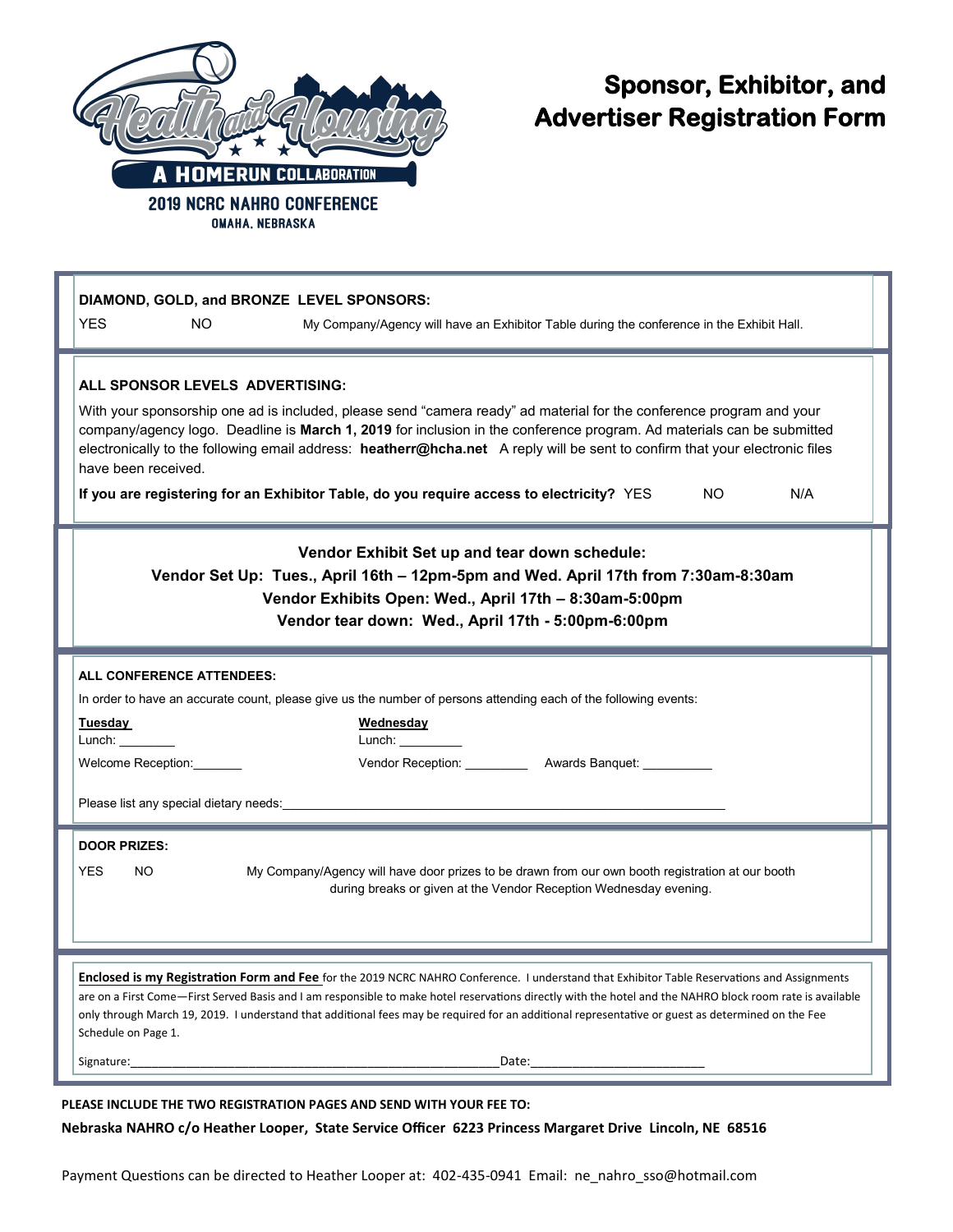

## **Sponsor, Exhibitor, and Advertiser Registration Form**

| DIAMOND, GOLD, and BRONZE LEVEL SPONSORS:<br><b>YES</b><br>NO.<br>My Company/Agency will have an Exhibitor Table during the conference in the Exhibit Hall.                                                                                                                                                                                                                                                                                                                                                                                                 |
|-------------------------------------------------------------------------------------------------------------------------------------------------------------------------------------------------------------------------------------------------------------------------------------------------------------------------------------------------------------------------------------------------------------------------------------------------------------------------------------------------------------------------------------------------------------|
| ALL SPONSOR LEVELS ADVERTISING:<br>With your sponsorship one ad is included, please send "camera ready" ad material for the conference program and your<br>company/agency logo. Deadline is March 1, 2019 for inclusion in the conference program. Ad materials can be submitted<br>electronically to the following email address: heatherr@hcha.net A reply will be sent to confirm that your electronic files<br>have been received.<br>If you are registering for an Exhibitor Table, do you require access to electricity? YES<br>NO.<br>N/A            |
| Vendor Exhibit Set up and tear down schedule:<br>Vendor Set Up: Tues., April 16th - 12pm-5pm and Wed. April 17th from 7:30am-8:30am<br>Vendor Exhibits Open: Wed., April 17th - 8:30am-5:00pm<br>Vendor tear down: Wed., April 17th - 5:00pm-6:00pm                                                                                                                                                                                                                                                                                                         |
| <b>ALL CONFERENCE ATTENDEES:</b><br>In order to have an accurate count, please give us the number of persons attending each of the following events:<br>Tuesday<br>Wednesday<br>Lunch: www.com<br>Lunch: the contract of the contract of the contract of the contract of the contract of the contract of the contract of the contract of the contract of the contract of the contract of the contract of the contract of the con<br>Welcome Reception:<br>Vendor Reception: ___________ Awards Banquet: _________<br>Please list any special dietary needs: |
| <b>DOOR PRIZES:</b><br>My Company/Agency will have door prizes to be drawn from our own booth registration at our booth<br><b>YES</b><br>NO.<br>during breaks or given at the Vendor Reception Wednesday evening.                                                                                                                                                                                                                                                                                                                                           |
| Enclosed is my Registration Form and Fee for the 2019 NCRC NAHRO Conference. I understand that Exhibitor Table Reservations and Assignments<br>are on a First Come—First Served Basis and I am responsible to make hotel reservations directly with the hotel and the NAHRO block room rate is available<br>only through March 19, 2019. I understand that additional fees may be required for an additional representative or guest as determined on the Fee<br>Schedule on Page 1.<br>Date: 2008                                                          |

**PLEASE INCLUDE THE TWO REGISTRATION PAGES AND SEND WITH YOUR FEE TO: Nebraska NAHRO c/o Heather Looper, State Service Officer 6223 Princess Margaret Drive Lincoln, NE 68516**

Payment Questions can be directed to Heather Looper at: 402-435-0941 Email: ne\_nahro\_sso@hotmail.com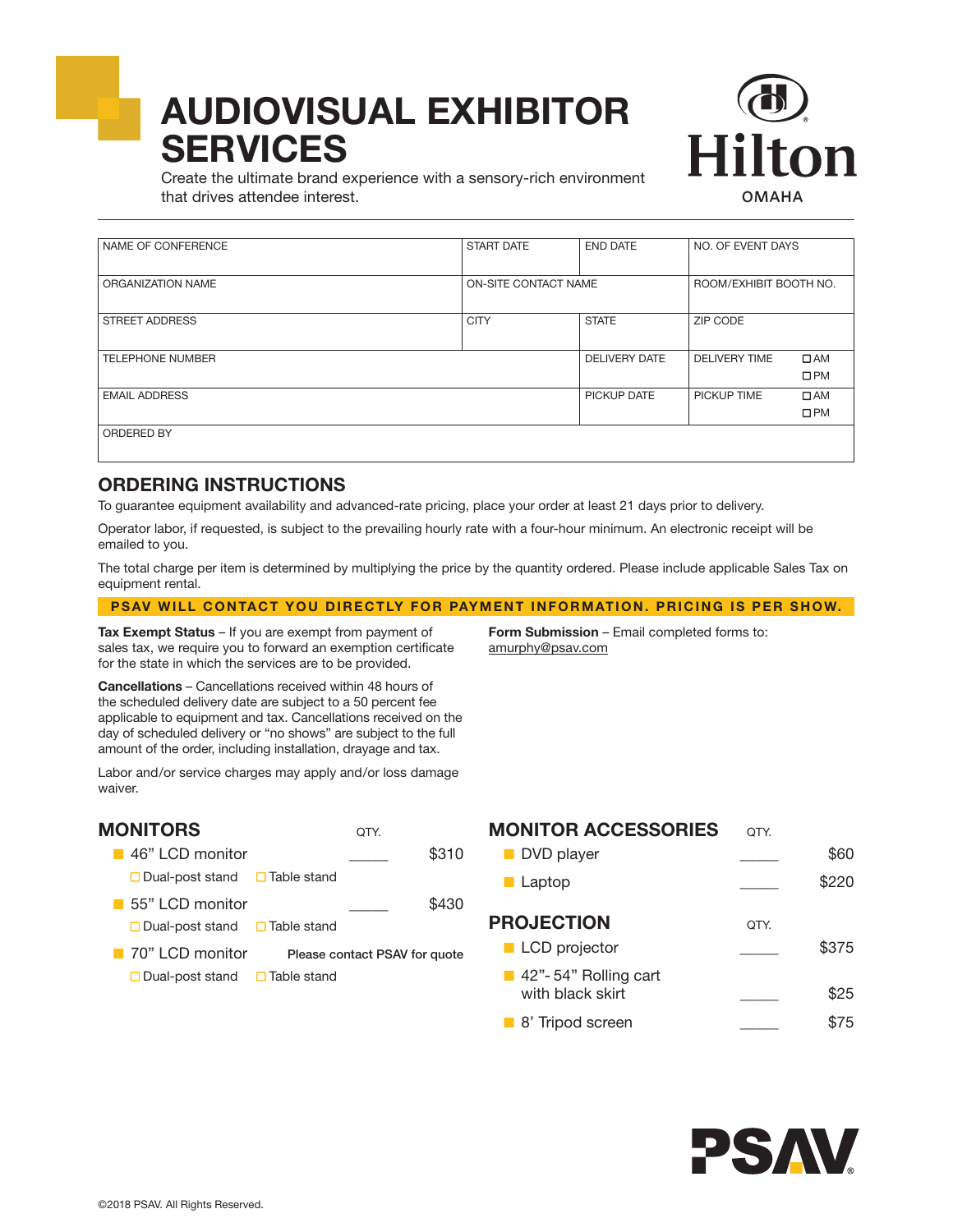# AUDIOVISUAL EXHIBITOR **SERVICES**



Create the ultimate brand experience with a sensory-rich environment that drives attendee interest.

| ORGANIZATION NAME |                   |                                                                 |                                                                     |
|-------------------|-------------------|-----------------------------------------------------------------|---------------------------------------------------------------------|
|                   |                   |                                                                 |                                                                     |
| <b>CITY</b>       | <b>STATE</b>      | ZIP CODE                                                        |                                                                     |
|                   |                   |                                                                 |                                                                     |
|                   |                   |                                                                 |                                                                     |
|                   |                   |                                                                 | $\Box$ AM                                                           |
|                   |                   |                                                                 | $\square$ PM                                                        |
|                   | PICKUP DATE       | PICKUP TIME                                                     | $\Box$ AM                                                           |
|                   |                   |                                                                 | $\square$ PM                                                        |
|                   |                   |                                                                 |                                                                     |
|                   |                   |                                                                 |                                                                     |
|                   |                   |                                                                 |                                                                     |
|                   | <b>START DATE</b> | <b>END DATE</b><br>ON-SITE CONTACT NAME<br><b>DELIVERY DATE</b> | NO. OF EVENT DAYS<br>ROOM/EXHIBIT BOOTH NO.<br><b>DELIVERY TIME</b> |

#### ORDERING INSTRUCTIONS

To guarantee equipment availability and advanced-rate pricing, place your order at least 21 days prior to delivery.

Operator labor, if requested, is subject to the prevailing hourly rate with a four-hour minimum. An electronic receipt will be emailed to you.

The total charge per item is determined by multiplying the price by the quantity ordered. Please include applicable Sales Tax on equipment rental.

#### PSAV WILL CONTACT YOU DIRECTLY FOR PAYMENT INFORMATION. PRICING IS PER SHOW.

Tax Exempt Status – If you are exempt from payment of sales tax, we require you to forward an exemption certificate for the state in which the services are to be provided.

Form Submission - Email completed forms to: amurphy@psav.com

Cancellations – Cancellations received within 48 hours of the scheduled delivery date are subject to a 50 percent fee applicable to equipment and tax. Cancellations received on the day of scheduled delivery or "no shows" are subject to the full amount of the order, including installation, drayage and tax.

Labor and/or service charges may apply and/or loss damage waiver.

| <b>MONITORS</b>                                                             | OTY.                          |       |
|-----------------------------------------------------------------------------|-------------------------------|-------|
| $\blacksquare$ 46" LCD monitor<br>$\Box$ Dual-post stand $\Box$ Table stand |                               | \$310 |
| 55" LCD monitor                                                             |                               | \$430 |
| $\Box$ Dual-post stand $\Box$ Table stand<br>■ 70" LCD monitor              | Please contact PSAV for quote |       |
| $\Box$ Dual-post stand $\Box$ Table stand                                   |                               |       |

| <b>MONITOR ACCESSORIES</b>                              | OTY. |       |
|---------------------------------------------------------|------|-------|
| DVD player                                              |      | \$60  |
| <b>Laptop</b>                                           |      | \$220 |
| <b>PROJECTION</b>                                       | OTY. |       |
| <b>LCD</b> projector                                    |      | \$375 |
| $\blacksquare$ 42"-54" Rolling cart<br>with black skirt |      | \$25  |
| 8' Tripod screen                                        |      | \$75  |

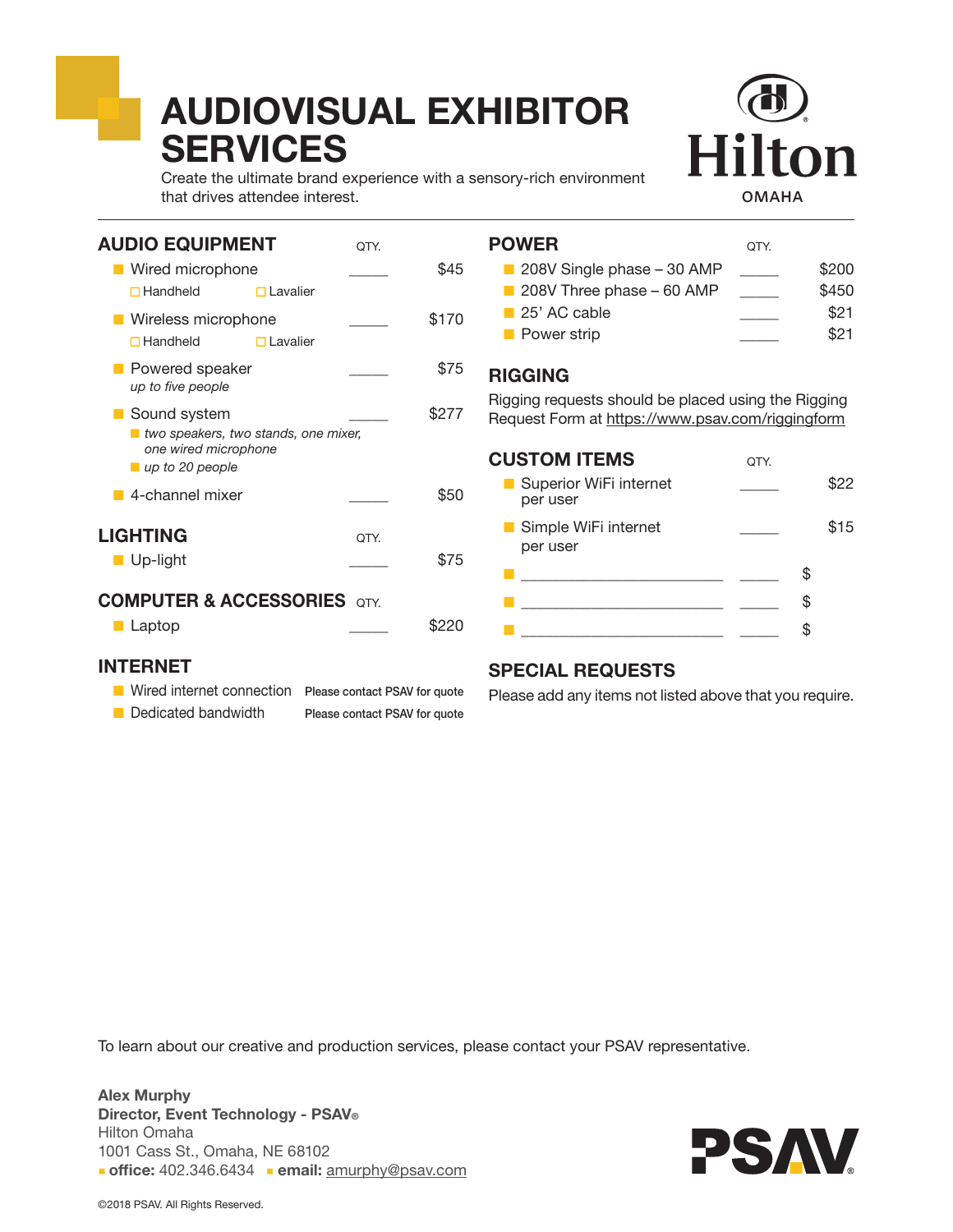# AUDIOVISUAL EXHIBITOR **SERVICES**



Create the ultimate brand experience with a sensory-rich environment that drives attendee interest.

| <b>AUDIO EQUIPMENT</b>                                                                                           |                 | OTY. |       |
|------------------------------------------------------------------------------------------------------------------|-----------------|------|-------|
| ■ Wired microphone                                                                                               |                 |      | \$45  |
| $\Box$ Handheld                                                                                                  | $\Box$ Lavalier |      |       |
| Wireless microphone<br>$\Box$ Handheld                                                                           | $\Box$ Lavalier |      | \$170 |
| Powered speaker<br>up to five people                                                                             |                 |      | \$75  |
| Sound system<br>■ two speakers, two stands, one mixer,<br>one wired microphone<br>$\blacksquare$ up to 20 people |                 |      | \$277 |
| 4-channel mixer                                                                                                  |                 |      | \$50  |
| <b>LIGHTING</b><br>$\blacksquare$ Up-light                                                                       |                 | OTY. | \$75  |
| <b>COMPUTER &amp; ACCESSORIES</b>                                                                                |                 | QTY. |       |

| <b>POWER</b>                                                                                            | OTY. |       |
|---------------------------------------------------------------------------------------------------------|------|-------|
| $\blacksquare$ 208V Single phase – 30 AMP                                                               |      | \$200 |
| 208V Three phase – 60 AMP                                                                               |      | \$450 |
| $\Box$ 25' AC cable                                                                                     |      | \$21  |
| Power strip                                                                                             |      | \$21  |
| <b>RIGGING</b>                                                                                          |      |       |
| Rigging requests should be placed using the Rigging<br>Request Form at https://www.psav.com/riggingform |      |       |
| <b>CUSTOM ITEMS</b>                                                                                     | OTY. |       |
| ■ Superior WiFi internet<br>per user                                                                    |      | \$22  |
| Simple WiFi internet<br>per user                                                                        |      | \$15  |

#### **COMPUTER & ACCESSORIES** QTY.

| Laptop | \$220 |
|--------|-------|
|        |       |

#### INTERNET

- **Wired internet connection** Please contact PSAV for quote
- Dedicated bandwidth Please contact PSAV for quote

#### SPECIAL REQUESTS

Please add any items not listed above that you require.

 $\blacksquare$  $\Box$  $\blacksquare$ 

To learn about our creative and production services, please contact your PSAV representative.

Alex Murphy Director, Event Technology - PSAV® Hilton Omaha 1001 Cass St., Omaha, NE 68102 office: 402.346.6434 email: amurphy@psav.com